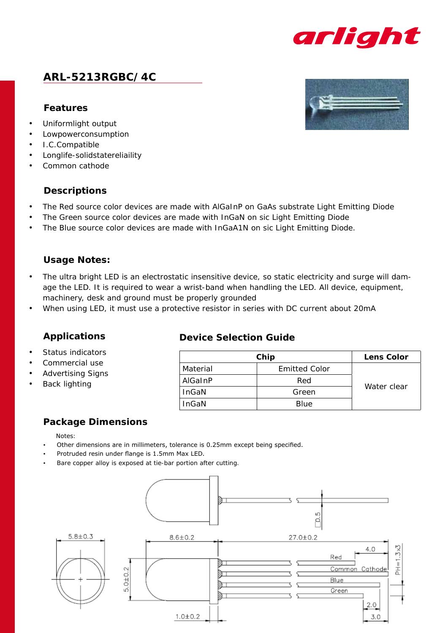

# **ARL-5213RGBC/4C**

### **Features**

- Uniformlight output
- **Lowpowerconsumption**
- • I.C.Compatible
- Longlife-solidstatereliaility
- Common cathode

### **Descriptions**

- The Red source color devices are made with AlGaInP on GaAs substrate Light Emitting Diode
- The Green source color devices are made with InGaN on sic Light Emitting Diode
- The Blue source color devices are made with InGaA1N on sic Light Emitting Diode.

### **Usage Notes:**

- The ultra bright LED is an electrostatic insensitive device, so static electricity and surge will damage the LED. It is required to wear a wrist-band when handling the LED. All device, equipment, machinery, desk and ground must be properly grounded
- When using LED, it must use a protective resistor in series with DC current about 20mA

### **Applications**

- Status indicators
- Commercial use
- **Advertising Signs**
- **Back lighting**

### **Device Selection Guide**

| Chip         | <b>Lens Color</b>    |             |  |  |
|--------------|----------------------|-------------|--|--|
| Material     | <b>Emitted Color</b> |             |  |  |
| AlGaInP      | Red                  |             |  |  |
| InGaN        | Green                | Water clear |  |  |
| <b>InGaN</b> | <b>Blue</b>          |             |  |  |

## **Package Dimensions**

- Notes:
- Other dimensions are in millimeters, tolerance is 0.25mm except being specified.
- Protruded resin under flange is 1.5mm Max LED.
- Bare copper alloy is exposed at tie-bar portion after cutting.



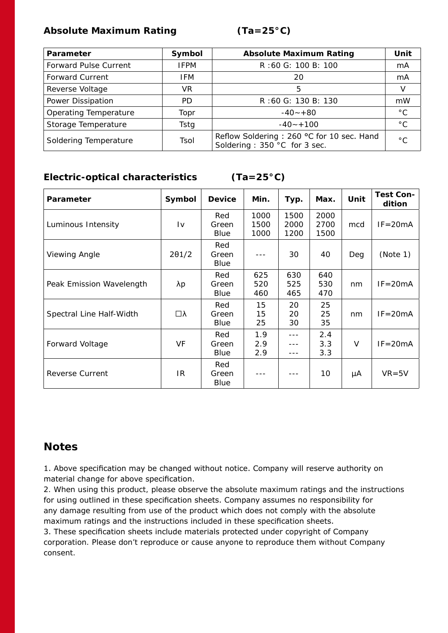### **Absolute Maximum Rating (Ta=25°C)**

| Parameter                    | Symbol      | <b>Absolute Maximum Rating</b>                                            | Unit         |
|------------------------------|-------------|---------------------------------------------------------------------------|--------------|
| <b>Forward Pulse Current</b> | <b>IFPM</b> | R:60 G: 100 B: 100                                                        | mA           |
| <b>Forward Current</b>       | <b>IFM</b>  | 20                                                                        | mA           |
| Reverse Voltage              | VR.         | 5                                                                         |              |
| Power Dissipation            | PD.         | R:60 G: 130 B: 130                                                        | mW           |
| Operating Temperature        | Topr        | $-40 - +80$                                                               | $^{\circ}$ C |
| Storage Temperature          | Tstg        | $-40 - +100$                                                              | $^{\circ}$ C |
| Soldering Temperature        | Tsol        | Reflow Soldering: 260 °C for 10 sec. Hand<br>Soldering: 350 °C for 3 sec. | $^{\circ}$ C |

## **Electric-optical characteristics (Ta=25°C)**

| <b>Parameter</b>         | Symbol                 | <b>Device</b>        | Min.                 | Typ.                 | Max.                 | Unit | <b>Test Con-</b><br>dition |
|--------------------------|------------------------|----------------------|----------------------|----------------------|----------------------|------|----------------------------|
| Luminous Intensity       | $\mathsf{I}\mathsf{v}$ | Red<br>Green<br>Blue | 1000<br>1500<br>1000 | 1500<br>2000<br>1200 | 2000<br>2700<br>1500 | mcd  | $IF = 20mA$                |
| Viewing Angle            | $2\theta$ 1/2          | Red<br>Green<br>Blue |                      | 30                   | 40                   | Deg  | (Note 1)                   |
| Peak Emission Wavelength | λp                     | Red<br>Green<br>Blue | 625<br>520<br>460    | 630<br>525<br>465    | 640<br>530<br>470    | nm   | $IF = 20mA$                |
| Spectral Line Half-Width | □λ                     | Red<br>Green<br>Blue | 15<br>15<br>25       | 20<br>20<br>30       | 25<br>25<br>35       | nm   | $IF = 20mA$                |
| Forward Voltage          | VF                     | Red<br>Green<br>Blue | 1.9<br>2.9<br>2.9    |                      | 2.4<br>3.3<br>3.3    | V    | $IF = 20mA$                |
| Reverse Current          | IR                     | Red<br>Green<br>Blue |                      |                      | 10                   | μA   | $VR = 5V$                  |

# **Notes**

1. Above specification may be changed without notice. Company will reserve authority on material change for above specification.

2. When using this product, please observe the absolute maximum ratings and the instructions for using outlined in these specification sheets. Company assumes no responsibility for any damage resulting from use of the product which does not comply with the absolute maximum ratings and the instructions included in these specification sheets.

3. These specification sheets include materials protected under copyright of Company corporation. Please don't reproduce or cause anyone to reproduce them without Company consent.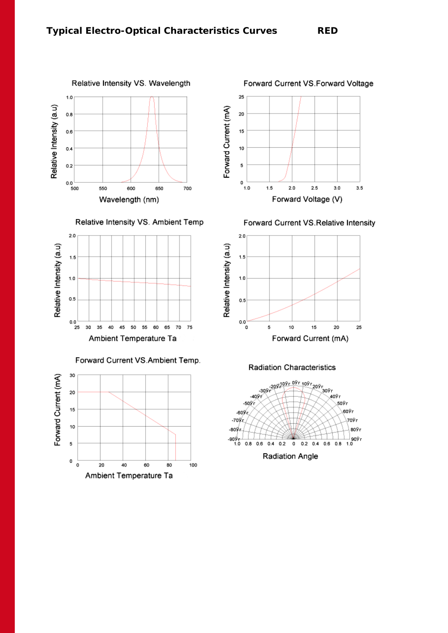

Relative Intensity VS. Ambient Temp



### Forward Current VS.Ambient Temp.





Forward Current VS. Relative Intensity



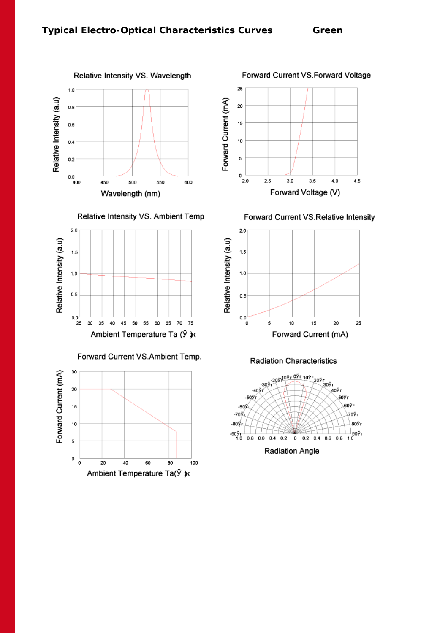





### Forward Current VS.Ambient Temp.





Forward Current VS.Relative Intensity



**Radiation Characteristics**